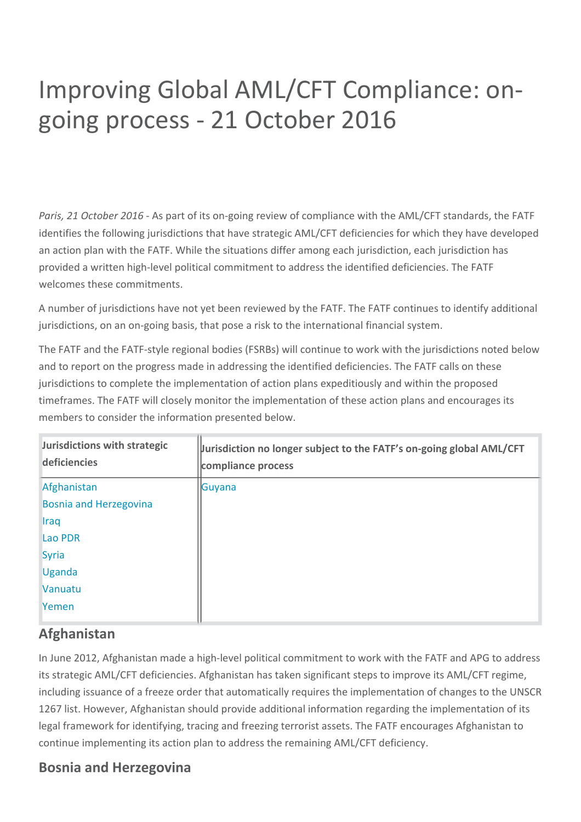# Improving Global AML/CFT Compliance: ongoing process - 21 October 2016

*Paris, 21 October 2016 - As part of its on-going review of compliance with the AML/CFT standards, the FATF* identifies the following jurisdictions that have strategic AML/CFT deficiencies for which they have developed an action plan with the FATF. While the situations differ among each jurisdiction, each jurisdiction has provided a written high-level political commitment to address the identified deficiencies. The FATF welcomes these commitments.

A number of jurisdictions have not yet been reviewed by the FATF. The FATF continues to identify additional jurisdictions, on an on-going basis, that pose a risk to the international financial system.

The FATF and the FATF-style regional bodies (FSRBs) will continue to work with the jurisdictions noted below and to report on the progress made in addressing the identified deficiencies. The FATF calls on these jurisdictions to complete the implementation of action plans expeditiously and within the proposed timeframes. The FATF will closely monitor the implementation of these action plans and encourages its members to consider the information presented below.

| Jurisdictions with strategic<br>deficiencies | Jurisdiction no longer subject to the FATF's on-going global AML/CFT<br>compliance process |
|----------------------------------------------|--------------------------------------------------------------------------------------------|
| Afghanistan                                  | Guyana                                                                                     |
| <b>Bosnia and Herzegovina</b>                |                                                                                            |
| <b>Iraq</b>                                  |                                                                                            |
| <b>Lao PDR</b>                               |                                                                                            |
| <b>Syria</b>                                 |                                                                                            |
| <b>Uganda</b>                                |                                                                                            |
| Vanuatu                                      |                                                                                            |
| Yemen                                        |                                                                                            |

## **Afghanistan**

In June 2012, Afghanistan made a high-level political commitment to work with the FATF and APG to address its strategic AML/CFT deficiencies. Afghanistan has taken significant steps to improve its AML/CFT regime, including issuance of a freeze order that automatically requires the implementation of changes to the UNSCR 1267 list. However, Afghanistan should provide additional information regarding the implementation of its legal framework for identifying, tracing and freezing terrorist assets. The FATF encourages Afghanistan to continue implementing its action plan to address the remaining AML/CFT deficiency.

## **Bosnia and Herzegovina**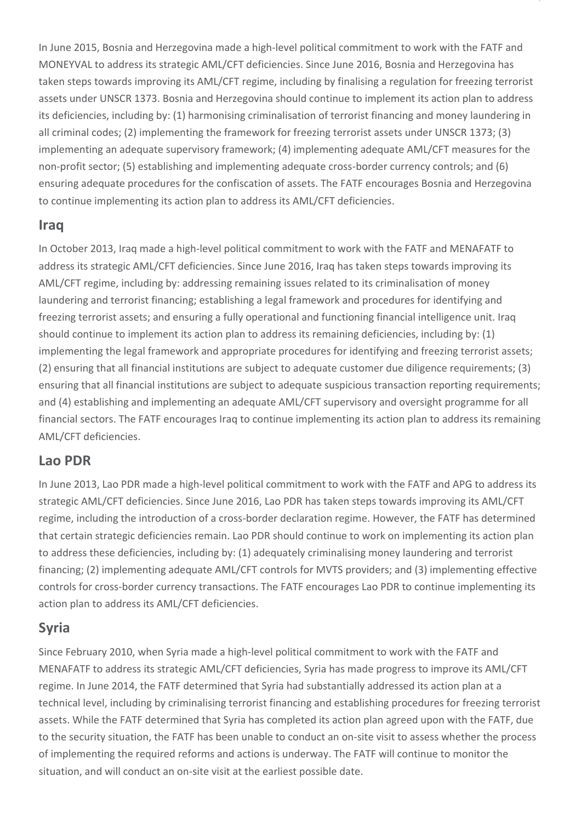In June 2015, Bosnia and Herzegovina made a high-level political commitment to work with the FATF and MONEYVAL to address its strategic AML/CFT deficiencies. Since June 2016, Bosnia and Herzegovina has taken steps towards improving its AML/CFT regime, including by finalising a regulation for freezing terrorist assets under UNSCR 1373. Bosnia and Herzegovina should continue to implement its action plan to address its deficiencies, including by: (1) harmonising criminalisation of terrorist financing and money laundering in all criminal codes; (2) implementing the framework for freezing terrorist assets under UNSCR 1373; (3) implementing an adequate supervisory framework; (4) implementing adequate AML/CFT measures for the non-profit sector; (5) establishing and implementing adequate cross-border currency controls; and (6) ensuring adequate procedures for the confiscation of assets. The FATF encourages Bosnia and Herzegovina to continue implementing its action plan to address its AML/CFT deficiencies.

## **Iraq**

In October 2013, Iraq made a high-level political commitment to work with the FATF and MENAFATF to address its strategic AML/CFT deficiencies. Since June 2016, Iraq has taken steps towards improving its AML/CFT regime, including by: addressing remaining issues related to its criminalisation of money laundering and terrorist financing; establishing a legal framework and procedures for identifying and freezing terrorist assets; and ensuring a fully operational and functioning financial intelligence unit. Iraq should continue to implement its action plan to address its remaining deficiencies, including by: (1) implementing the legal framework and appropriate procedures for identifying and freezing terrorist assets; (2) ensuring that all financial institutions are subject to adequate customer due diligence requirements; (3) ensuring that all financial institutions are subject to adequate suspicious transaction reporting requirements; and (4) establishing and implementing an adequate AML/CFT supervisory and oversight programme for all financial sectors. The FATF encourages Iraq to continue implementing its action plan to address its remaining AML/CFT deficiencies.

## **Lao PDR**

In June 2013, Lao PDR made a high-level political commitment to work with the FATF and APG to address its strategic AML/CFT deficiencies. Since June 2016, Lao PDR has taken steps towards improving its AML/CFT regime, including the introduction of a cross-border declaration regime. However, the FATF has determined that certain strategic deficiencies remain. Lao PDR should continue to work on implementing its action plan to address these deficiencies, including by: (1) adequately criminalising money laundering and terrorist financing; (2) implementing adequate AML/CFT controls for MVTS providers; and (3) implementing effective controls for cross-border currency transactions. The FATF encourages Lao PDR to continue implementing its action plan to address its AML/CFT deficiencies.

## **Syria**

Since February 2010, when Syria made a high-level political commitment to work with the FATF and MENAFATF to address its strategic AML/CFT deficiencies, Syria has made progress to improve its AML/CFT regime. In June 2014, the FATF determined that Syria had substantially addressed its action plan at a technical level, including by criminalising terrorist financing and establishing procedures for freezing terrorist assets. While the FATF determined that Syria has completed its action plan agreed upon with the FATF, due to the security situation, the FATF has been unable to conduct an on-site visit to assess whether the process of implementing the required reforms and actions is underway. The FATF will continue to monitor the situation, and will conduct an on-site visit at the earliest possible date.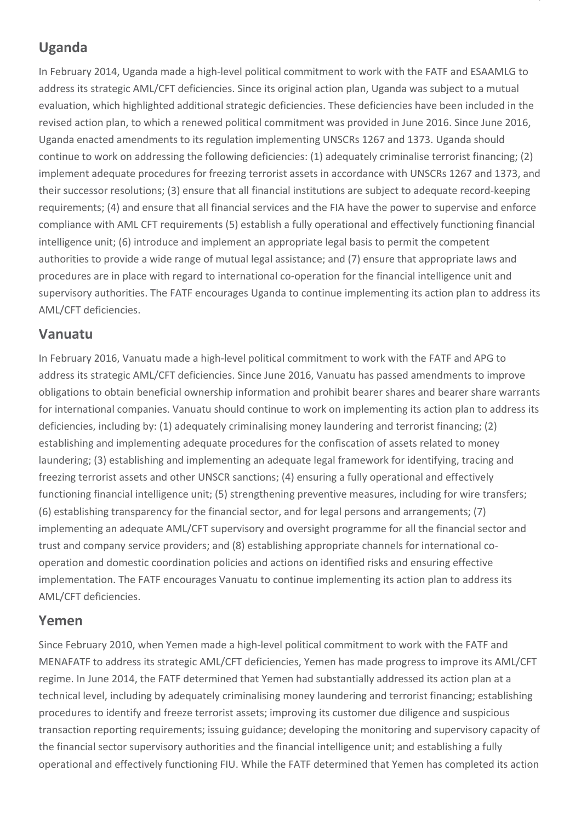## **Uganda**

In February 2014, Uganda made a high-level political commitment to work with the FATF and ESAAMLG to address its strategic AML/CFT deficiencies. Since its original action plan, Uganda was subject to a mutual evaluation, which highlighted additional strategic deficiencies. These deficiencies have been included in the revised action plan, to which a renewed political commitment was provided in June 2016. Since June 2016, Uganda enacted amendments to its regulation implementing UNSCRs 1267 and 1373. Uganda should continue to work on addressing the following deficiencies: (1) adequately criminalise terrorist financing; (2) implement adequate procedures for freezing terrorist assets in accordance with UNSCRs 1267 and 1373, and their successor resolutions; (3) ensure that all financial institutions are subject to adequate record-keeping requirements; (4) and ensure that all financial services and the FIA have the power to supervise and enforce compliance with AML CFT requirements (5) establish a fully operational and effectively functioning financial intelligence unit; (6) introduce and implement an appropriate legal basis to permit the competent authorities to provide a wide range of mutual legal assistance; and (7) ensure that appropriate laws and procedures are in place with regard to international co-operation for the financial intelligence unit and supervisory authorities. The FATF encourages Uganda to continue implementing its action plan to address its AML/CFT deficiencies.

## **Vanuatu**

In February 2016, Vanuatu made a high-level political commitment to work with the FATF and APG to address its strategic AML/CFT deficiencies. Since June 2016, Vanuatu has passed amendments to improve obligations to obtain beneficial ownership information and prohibit bearer shares and bearer share warrants for international companies. Vanuatu should continue to work on implementing its action plan to address its deficiencies, including by: (1) adequately criminalising money laundering and terrorist financing; (2) establishing and implementing adequate procedures for the confiscation of assets related to money laundering; (3) establishing and implementing an adequate legal framework for identifying, tracing and freezing terrorist assets and other UNSCR sanctions; (4) ensuring a fully operational and effectively functioning financial intelligence unit; (5) strengthening preventive measures, including for wire transfers; (6) establishing transparency for the financial sector, and for legal persons and arrangements; (7) implementing an adequate AML/CFT supervisory and oversight programme for all the financial sector and trust and company service providers; and (8) establishing appropriate channels for international cooperation and domestic coordination policies and actions on identified risks and ensuring effective implementation. The FATF encourages Vanuatu to continue implementing its action plan to address its AML/CFT deficiencies.

## **Yemen**

Since February 2010, when Yemen made a high-level political commitment to work with the FATF and MENAFATF to address its strategic AML/CFT deficiencies, Yemen has made progress to improve its AML/CFT regime. In June 2014, the FATF determined that Yemen had substantially addressed its action plan at a technical level, including by adequately criminalising money laundering and terrorist financing; establishing procedures to identify and freeze terrorist assets; improving its customer due diligence and suspicious transaction reporting requirements; issuing guidance; developing the monitoring and supervisory capacity of the financial sector supervisory authorities and the financial intelligence unit; and establishing a fully operational and effectively functioning FIU. While the FATF determined that Yemen has completed its action